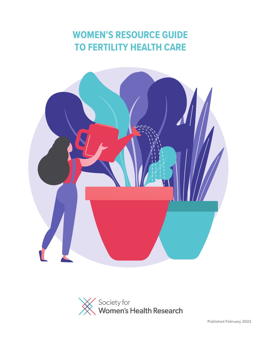# **WOMEN'S RESOURCE GUIDE TO FERTILITY HEALTH CARE**



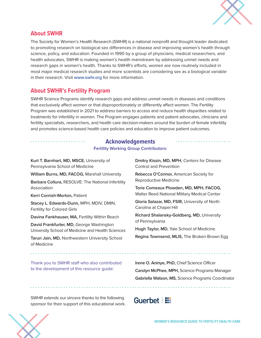

### **About SWHR**

The Society for Women's Health Research (SWHR) is a national nonprofit and thought leader dedicated to promoting research on biological sex differences in disease and improving women's health through science, policy, and education. Founded in 1990 by a group of physicians, medical researchers, and health advocates, SWHR is making women's health mainstream by addressing unmet needs and research gaps in women's health. Thanks to SWHR's efforts, women are now routinely included in most major medical research studies and more scientists are considering sex as a biological variable in their research. Visit **[www.swhr.org](http://www.swhr.org)** for more information.

## **About SWHR's Fertility Program**

SWHR Science Programs identify research gaps and address unmet needs in diseases and conditions that exclusively affect women or that disproportionately or differently affect women. The Fertility Program was established in 2021 to address barriers to access and reduce health disparities related to treatments for infertility in women. The Program engages patients and patient advocates, clinicians and fertility specialists, researchers, and health care decision-makers around the burden of female infertility and promotes science-based health care policies and education to improve patient outcomes.

#### **Acknowledgements**

**Fertility Working Group Contributors:**

**Kurt T. Barnhart, MD, MSCE,** University of Pennsylvania School of Medicine **William Burns, MD, FACOG,** Marshall University **Barbara Collura,** RESOLVE: The National Infertility Association **Kerri Cornish-Morton,** Patient **Stacey L. Edwards-Dunn,** MPH, MDIV, DMIN, Fertility for Colored Girls **Davina Fankhauser, MA, Fertility Within Reach David Frankfurter, MD,** George Washington University School of Medicine and Health Sciences

**Tarun Jain, MD,** Northwestern University School of Medicine

Thank you to SWHR staff who also contributed to the development of this resource guide:

**Dmitry Kissin, MD, MPH,** Centers for Disease Control and Prevention

**Rebecca O'Connor,** American Society for Reproductive Medicine

**Torie Comeaux Plowden, MD, MPH, FACOG,** Walter Reed National Military Medical Center

**Gloria Salazar, MD, FSIR,** University of North Carolina at Chapel Hill

**Richard Shalansky-Goldberg, MD,** University of Pennsylvania

**Hugh Taylor, MD,** Yale School of Medicine

**Regina Townsend, MLIS,** The Broken Brown Egg

**Irene O. Aninye, PhD,** Chief Science Officer **Carolyn McPhee, MPH,** Science Programs Manager **Gabriella Watson, MS,** Science Programs Coordinator

SWHR extends our sincere thanks to the following sponsor for their support of this educational work.

## Guerbet | !!

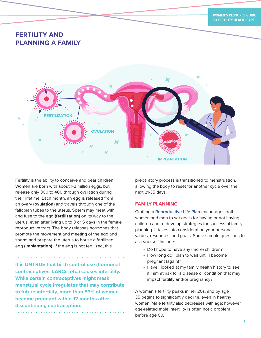## **FERTILITY AND PLANNING A FAMILY**



Fertility is the ability to conceive and bear children. Women are born with about 1-2 million eggs, but release only 300 to 400 through ovulation during their lifetime. Each month, an egg is released from an ovary **(ovulation)** and travels through one of the fallopian tubes to the uterus. Sperm may meet with and fuse to the egg **(fertilization)** on its way to the uterus, even after living up to 3 or 5 days in the female reproductive tract. The body releases hormones that promote the movement and meeting of the egg and sperm and prepare the uterus to house a fertilized egg **(implantation)**. If the egg is not fertilized, this

**It is UNTRUE that birth control use (hormonal contraceptives, LARCs, etc.) causes infertility. While certain contraceptives might mask menstrual cycle irregulates that may contribute to future infertility, more than 83% of women become pregnant within 12 months after discontinuing contraception.**

preparatory process is transitioned to menstruation, allowing the body to reset for another cycle over the next 21-35 days.

#### **FAMILY PLANNING**

Crafting a **[Reproductive Life Plan](https://www.cdc.gov/preconception/planning.html)** encourages both women and men to set goals for having or not having children and to develop strategies for successful family planning. It takes into consideration your personal values, resources, and goals. Some sample questions to ask yourself include:

- Do I hope to have any (more) children?
- How long do I plan to wait until I become pregnant (again)?
- Have I looked at my family health history to see if I am at risk for a disease or condition that may impact fertility and/or pregnancy?

A woman's fertility peaks in her 20s, and by age 35 begins to significantly decline, even in healthy women. Male fertility also decreases with age; however, age-related male infertility is often not a problem before age 60.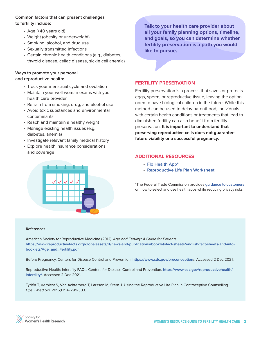#### **Common factors that can present challenges to fertility include:**

- Age (>40 years old)
- Weight (obesity or underweight)
- Smoking, alcohol, and drug use
- Sexually transmitted infections
- Certain chronic health conditions (e.g., diabetes, thyroid disease, celiac disease, sickle cell anemia)

#### **Ways to promote your personal and reproductive health:**

- Track your menstrual cycle and ovulation
- Maintain your well woman exams with your health care provider
- Refrain from smoking, drug, and alcohol use
- Avoid toxic substances and environmental contaminants
- Reach and maintain a healthy weight
- Manage existing health issues (e.g., diabetes, anemia)
- Investigate relevant family medical history
- Explore health insurance considerations and coverage



**Talk to your health care provider about all your family planning options, timeline, and goals, so you can determine whether fertility preservation is a path you would like to pursue.**

#### **FERTILITY PRESERVATION**

Fertility preservation is a process that saves or protects eggs, sperm, or reproductive tissue, leaving the option open to have biological children in the future. While this method can be used to delay parenthood, individuals with certain health conditions or treatments that lead to diminished fertility can also benefit from fertility preservation. **It is important to understand that preserving reproductive cells does not guarantee future viability or a successful pregnancy.**

#### **ADDITIONAL RESOURCES**

- **[Flo Health App](https://flo.health/)\***
- **[Reproductive Life Plan Worksheet](https://dhss.delaware.gov/dph/chca/files/adultlifeplan2011.pdf)**

\*The Federal Trade Commission provides **[guidance to customers](https://www.ftc.gov/sites/default/files/u544718/flo_health_app_infographic_11022020_en_508_0.jpg)** on how to select and use health apps while reducing privacy risks.

#### **References**

American Society for Reproductive Medicine (2012). *Age and Fertility: A Guide for Patients.* **[https://www.reproductivefacts.org/globalassets/rf/news-and-publications/bookletsfact-sheets/english-fact-sheets-and-info](https://www.reproductivefacts.org/globalassets/rf/news-and-publications/bookletsfact-sheets/english-fact-sheets-and-info-booklets/Age_and_Fertility.pdf)[booklets/Age\\_and\\_Fertility.pdf](https://www.reproductivefacts.org/globalassets/rf/news-and-publications/bookletsfact-sheets/english-fact-sheets-and-info-booklets/Age_and_Fertility.pdf)**

Before Pregnancy. Centers for Disease Control and Prevention. **<https://www.cdc.gov/preconception>**/. Accessed 2 Dec 2021.

Reproductive Health: Infertility FAQs. Centers for Disease Control and Prevention. **[https://www.cdc.gov/reproductivehealth/](https://www.cdc.gov/reproductivehealth/infertility/) [infertility/](https://www.cdc.gov/reproductivehealth/infertility/)**. Accessed 2 Dec 2021.

Tydén T, Verbiest S, Van Achterberg T, Larsson M, Stern J. Using the Reproductive Life Plan in Contraceptive Counselling. *Ups J Med Sci.* 2016;121(4):299-303.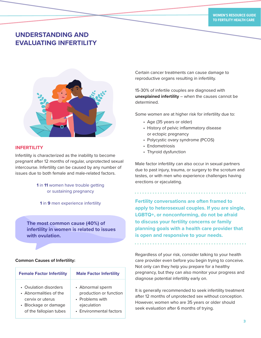## **UNDERSTANDING AND EVALUATING INFERTILITY**



#### **INFERTILITY**

Infertility is characterized as the inability to become pregnant after 12 months of regular, unprotected sexual intercourse. Infertility can be caused by any number of issues due to both female and male-related factors.

> **1** in **11** women have trouble getting or sustaining pregnancy

**The most common cause (40%) of infertility in women is related to issues with ovulation.**

#### **Common Causes of Infertility:**

| <b>Female Factor Infertility</b> | <b>Male Factor Infertility</b> |
|----------------------------------|--------------------------------|
| • Ovulation disorders            | • Abnormal sperm               |
| • Abnormalities of the           | production or function         |
| cervix or uterus                 | • Problems with                |
| • Blockage or damage             | ejaculation                    |
| of the fallopian tubes           | • Environmental factors        |

Certain cancer treatments can cause damage to reproductive organs resulting in infertility.

15-30% of infertile couples are diagnosed with **unexplained infertility** – when the causes cannot be determined.

Some women are at higher risk for infertility due to:

- Age (35 years or older)
- History of pelvic inflammatory disease or ectopic pregnancy
- Polycystic ovary syndrome (PCOS)
- Endometriosis
- Thyroid dysfunction

Male factor infertility can also occur in sexual partners due to past injury, trauma, or surgery to the scrotum and testes, or with men who experience challenges having erections or ejaculating.

**<sup>1</sup>** in **9** men experience infertility **Fertility conversations are often framed to apply to heterosexual couples. If you are single, LGBTQ+, or nonconforming, do not be afraid to discuss your fertility concerns or family planning goals with a health care provider that is open and responsive to your needs.**

> Regardless of your risk, consider talking to your health care provider even before you begin trying to conceive. Not only can they help you prepare for a healthy pregnancy, but they can also monitor your progress and diagnose potential infertility early on.

> It is generally recommended to seek infertility treatment after 12 months of unprotected sex without conception. However, women who are 35 years or older should seek evaluation after 6 months of trying.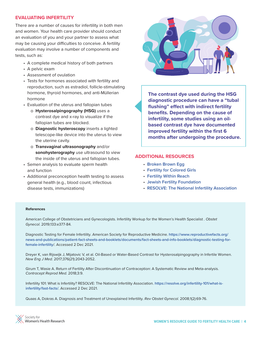#### **EVALUATING INFERTILITY**

There are a number of causes for infertility in both men and women. Your health care provider should conduct an evaluation of you and your partner to assess what may be causing your difficulties to conceive. A fertility evaluation may involve a number of components and tests, such as:

- A complete medical history of both partners
- A pelvic exam
- Assessment of ovulation
- Tests for hormones associated with fertility and reproduction, such as estradiol, follicle-stimulating hormone, thyroid hormones, and anti-Müllerian hormone
- Evaluation of the uterus and fallopian tubes
	- o **Hysterosalpingography (HSG)** uses a contrast dye and x-ray to visualize if the fallopian tubes are blocked.
	- o **Diagnostic hysteroscopy** inserts a lighted telescope-like device into the uterus to view the uterine cavity.
	- o **Transvaginal ultrasonography** and/or **sonohysterography** use ultrasound to view the inside of the uterus and fallopian tubes.
- Semen analysis to evaluate sperm health and function
- Additional preconception health testing to assess general health (e.g., blood count, infectious disease tests, immunizations)



**The contrast dye used during the HSG diagnostic procedure can have a "tubal flushing" effect with indirect fertility benefits. Depending on the cause of infertility, some studies using an oilbased contrast dye have documented improved fertility within the first 6 months after undergoing the procedure.**

#### **ADDITIONAL RESOURCES**

- **[Broken Brown Egg](https://thebrokenbrownegg.org/)**
- **[Fertility for Colored Girls](https://www.fertilityforcoloredgirls.org/)**
- **[Fertility Within Reach](https://www.fertilitywithinreach.org/)**
- **[Jewish Fertility Foundation](https://jewishfertilityfoundation.org/)**
- **[RESOLVE: The National Infertility Association](https://resolve.org/)**

#### **References**

American College of Obstetricians and Gynecologists. Infertility Workup for the Women's Health Specialist . *Obstet Gynecol*. 2019;133:e377-84.

Diagnostic Testing for Female Infertility. American Society for Reproductive Medicine. **[https://www.reproductivefacts.org/](https://www.reproductivefacts.org/news-and-publications/patient-fact-sheets-and-booklets/documents/fact-sheets-and-info-booklets/diagnostic-testing-for-female-infertility) [news-and-publications/patient-fact-sheets-and-booklets/documents/fact-sheets-and-info-booklets/diagnostic-testing-for](https://www.reproductivefacts.org/news-and-publications/patient-fact-sheets-and-booklets/documents/fact-sheets-and-info-booklets/diagnostic-testing-for-female-infertility)[female-infertility](https://www.reproductivefacts.org/news-and-publications/patient-fact-sheets-and-booklets/documents/fact-sheets-and-info-booklets/diagnostic-testing-for-female-infertility)**/. Accessed 2 Dec 2021.

Dreyer K, van Rijswijk J, Mijatovic V, et al. Oil-Based or Water-Based Contrast for Hysterosalpingography in Infertile Women. *New Eng J Med.* 2017;376(21):2043-2052.

Girum T, Wasie A. Return of Fertility After Discontinuation of Contraception: A Systematic Review and Meta-analysis. *Contracept Reprod Med.* 2018;3:9.

Infertility 101: What is Infertility? RESOLVE: The National Infertility Association. **[https://resolve.org/infertility-101/what-is](https://resolve.org/infertility-101/what-is-infertility/fast-facts/)[infertility/fast-facts/](https://resolve.org/infertility-101/what-is-infertility/fast-facts/)**. Accessed 2 Dec 2021.

Quaas A, Dokras A. Diagnosis and Treatment of Unexplained Infertility. *Rev Obstet Gynecol.* 2008;1(2):69-76.

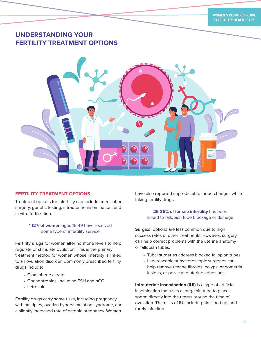## **UNDERSTANDING YOUR FERTILITY TREATMENT OPTIONS**



#### **FERTILITY TREATMENT OPTIONS**

Treatment options for infertility can include: medication, surgery, genetic testing, intrauterine insemination, and in vitro fertilization.

#### **~12% of women** ages 15-49 have received some type of infertility service

**Fertility drugs** for women alter hormone levels to help regulate or stimulate ovulation. This is the primary treatment method for women whose infertility is linked to an ovulation disorder. Commonly prescribed fertility drugs include:

- Clomiphene citrate
- Gonadotropins, including FSH and hCG
- Letrozole

Fertility drugs carry some risks, including pregnancy with multiples, ovarian hyperstimulation syndrome, and a slightly increased rate of ectopic pregnancy. Women

have also reported unpredictable mood changes while taking fertility drugs.

#### **25-35% of female infertility** has been linked to fallopian tube blockage or damage

**Surgical** options are less common due to high success rates of other treatments. However, surgery can help correct problems with the uterine anatomy or fallopian tubes.

- Tubal surgeries address blocked fallopian tubes.
- Laparoscopic or hysteroscopic surgeries can help remove uterine fibroids, polyps, endometria lesions, or pelvic and uterine adhesions.

**Intrauterine insemination (IUI)** is a type of artificial insemination that uses a long, thin tube to place sperm directly into the uterus around the time of ovulation. The risks of IUI include pain, spotting, and rarely infection.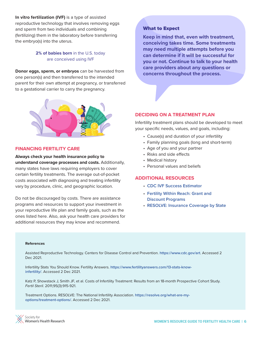**In vitro fertilization (IVF)** is a type of assisted reproductive technology that involves removing eggs and sperm from two individuals and combining (fertilizing) them in the laboratory before transferring the embryo(s) into the uterus.

#### **2% of babies born** in the U.S. today are conceived using IVF

**Donor eggs, sperm, or embryos** can be harvested from one person(s) and then transferred to the intended parent for their own attempt at pregnancy, or transferred to a gestational carrier to carry the pregnancy.



#### **FINANCING FERTILITY CARE**

**Always check your health insurance policy to understand coverage processes and costs.** Additionally, many states have laws requiring employers to cover certain fertility treatments. The average out-of-pocket costs associated with diagnosing and treating infertility vary by procedure, clinic, and geographic location.

Do not be discouraged by costs. There are assistance programs and resources to support your investment in your reproductive life plan and family goals, such as the ones listed here. Also, ask your health care providers for additional resources they may know and recommend.

#### What to Expect

**Keep in mind that, even with treatment, conceiving takes time. Some treatments may need multiple attempts before you can determine if it will be successful for you or not. Continue to talk to your health care providers about any questions or concerns throughout the process.**

#### **DECIDING ON A TREATMENT PLAN**

Infertility treatment plans should be developed to meet your specific needs, values, and goals, including:

- Cause(s) and duration of your infertility
- Family planning goals (long and short-term)
- Age of you and your partner
- Risks and side effects
- Medical history
- Personal values and beliefs

#### **ADDITIONAL RESOURCES**

- **[CDC IVF Success Estimator](www.cdc.gov/art/ivf-success-estimator)**
- **[Fertility Within Reach: Grant and](https://www.fertilitywithinreach.org/financial-assitance/grant-assitance/) [Discount Programs](https://www.fertilitywithinreach.org/financial-assitance/grant-assitance/)**
- **[RESOLVE: Insurance Coverage by State](www.resolve.org/what-are-my-options/insurance-coverage/infertility-coverage-state/)**

#### **References**

Assisted Reproductive Technology. Centers for Disease Control and Prevention. **<https://www.cdc.gov/art>**. Accessed 2 Dec 2021.

Infertility Stats You Should Know. Fertility Answers. **[https://www.fertilityanswers.com/13-stats-know](https://www.fertilityanswers.com/13-stats-know-infertility/)[infertility/](https://www.fertilityanswers.com/13-stats-know-infertility/)**. Accessed 2 Dec 2021.

Katz P, Showstack J, Smith JF, et al. Costs of Infertility Treatment: Results from an 18-month Prospective Cohort Study. *Fertil Steril.* 2011;95(3):915-921.

Treatment Options. RESOLVE: The National Infertility Association. **[https://resolve.org/what-are-my](https://resolve.org/what-are-my-options/treatment-options/)[options/treatment-options/](https://resolve.org/what-are-my-options/treatment-options/)**. Accessed 2 Dec 2021.

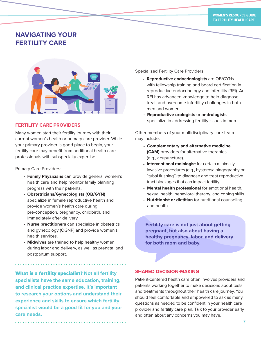## **NAVIGATING YOUR FERTILITY CARE**



#### **FERTILITY CARE PROVIDERS**

Many women start their fertility journey with their current women's health or primary care provider. While your primary provider is good place to begin, your fertility care may benefit from additional health care professionals with subspecialty expertise.

Primary Care Providers:

- **Family Physicians** can provide general women's health care and help monitor family planning progress with their patients.
- **Obstetricians/Gynecologists (OB/GYN)** specialize in female reproductive health and provide women's health care during pre-conception, pregnancy, childbirth, and immediately after delivery.
- **Nurse practitioners** can specialize in obstetrics and gynecology (OGNP) and provide women's health services.
- **Midwives** are trained to help healthy women during labor and delivery, as well as prenatal and postpartum support.

What is a fertility specialist? **Not all fertility specialists have the same education, training, and clinical practice expertise. It's important to research your options and understand their experience and skills to ensure which fertility specialist would be a good fit for you and your care needs.**

Specialized Fertility Care Providers:

- **Reproductive endocrinologists** are OB/GYNs with fellowship training and board certification in reproductive endocrinology and infertility (REI). An REI has advanced knowledge to help diagnose, treat, and overcome infertility challenges in both men and women.
- **Reproductive urologists** or **andrologists** specialize in addressing fertility issues in men.

Other members of your multidisciplinary care team may include:

- **Complementary and alternative medicine (CAM)** providers for alternative therapies (e.g., acupuncture).
- **Interventional radiologist** for certain minimally invasive procedures (e.g., hysterosalpingography or "tubal flushing") to diagnose and treat reproductive tract blockages that can impact fertility.
- **Mental health professional** for emotional health, sexual health, behavioral therapy, and coping skills.
- **Nutritionist or dietitian** for nutritional counseling and health.

**Fertility care is not just about getting pregnant, but also about having a healthy pregnancy, labor, and delivery for both mom and baby.**

#### **SHARED DECISION-MAKING**

Patient-centered health care often involves providers and patients working together to make decisions about tests and treatments throughout their health care journey. You should feel comfortable and empowered to ask as many questions as needed to be confident in your health care provider and fertility care plan. Talk to your provider early and often about any concerns you may have.